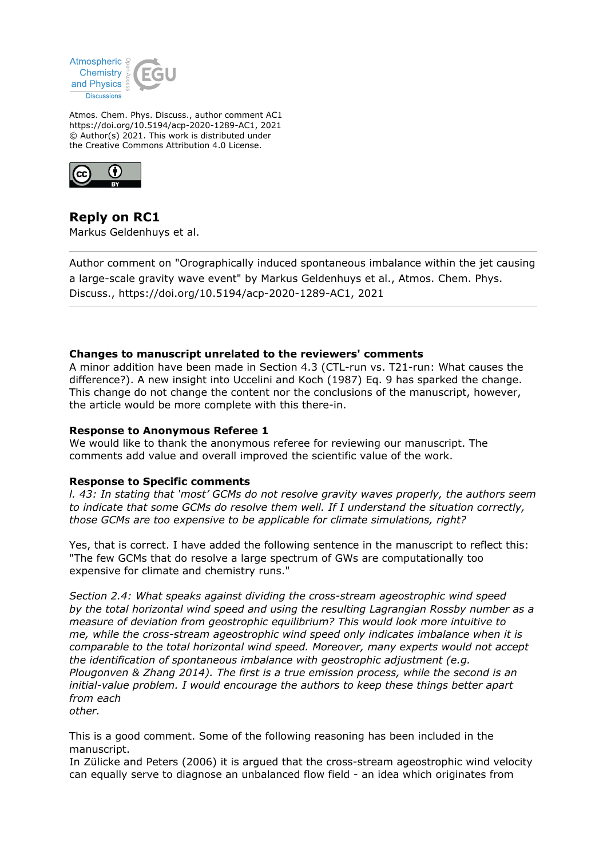

Atmos. Chem. Phys. Discuss., author comment AC1 https://doi.org/10.5194/acp-2020-1289-AC1, 2021 © Author(s) 2021. This work is distributed under the Creative Commons Attribution 4.0 License.



**Reply on RC1** Markus Geldenhuys et al.

Author comment on "Orographically induced spontaneous imbalance within the jet causing a large-scale gravity wave event" by Markus Geldenhuys et al., Atmos. Chem. Phys. Discuss., https://doi.org/10.5194/acp-2020-1289-AC1, 2021

## **Changes to manuscript unrelated to the reviewers' comments**

A minor addition have been made in Section 4.3 (CTL-run vs. T21-run: What causes the difference?). A new insight into Uccelini and Koch (1987) Eq. 9 has sparked the change. This change do not change the content nor the conclusions of the manuscript, however, the article would be more complete with this there-in.

## **Response to Anonymous Referee 1**

We would like to thank the anonymous referee for reviewing our manuscript. The comments add value and overall improved the scientific value of the work.

## **Response to Specific comments**

*l. 43: In stating that 'most' GCMs do not resolve gravity waves properly, the authors seem to indicate that some GCMs do resolve them well. If I understand the situation correctly, those GCMs are too expensive to be applicable for climate simulations, right?*

Yes, that is correct. I have added the following sentence in the manuscript to reflect this: "The few GCMs that do resolve a large spectrum of GWs are computationally too expensive for climate and chemistry runs."

*Section 2.4: What speaks against dividing the cross-stream ageostrophic wind speed by the total horizontal wind speed and using the resulting Lagrangian Rossby number as a measure of deviation from geostrophic equilibrium? This would look more intuitive to me, while the cross-stream ageostrophic wind speed only indicates imbalance when it is comparable to the total horizontal wind speed. Moreover, many experts would not accept the identification of spontaneous imbalance with geostrophic adjustment (e.g. Plougonven & Zhang 2014). The first is a true emission process, while the second is an initial-value problem. I would encourage the authors to keep these things better apart from each other.*

This is a good comment. Some of the following reasoning has been included in the manuscript.

In Zülicke and Peters (2006) it is argued that the cross-stream ageostrophic wind velocity can equally serve to diagnose an unbalanced flow field - an idea which originates from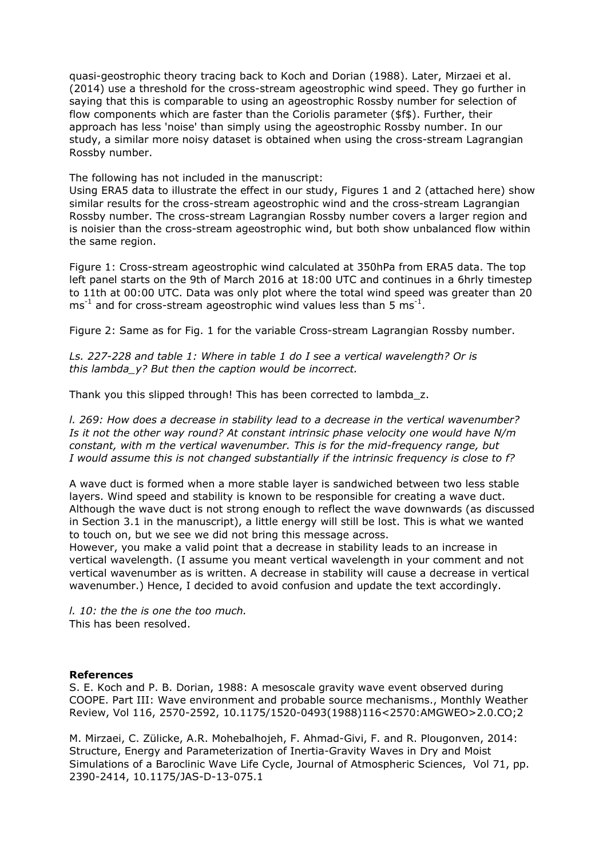quasi-geostrophic theory tracing back to Koch and Dorian (1988). Later, Mirzaei et al. (2014) use a threshold for the cross-stream ageostrophic wind speed. They go further in saying that this is comparable to using an ageostrophic Rossby number for selection of flow components which are faster than the Coriolis parameter (\$f\$). Further, their approach has less 'noise' than simply using the ageostrophic Rossby number. In our study, a similar more noisy dataset is obtained when using the cross-stream Lagrangian Rossby number.

The following has not included in the manuscript:

Using ERA5 data to illustrate the effect in our study, Figures 1 and 2 (attached here) show similar results for the cross-stream ageostrophic wind and the cross-stream Lagrangian Rossby number. The cross-stream Lagrangian Rossby number covers a larger region and is noisier than the cross-stream ageostrophic wind, but both show unbalanced flow within the same region.

Figure 1: Cross-stream ageostrophic wind calculated at 350hPa from ERA5 data. The top left panel starts on the 9th of March 2016 at 18:00 UTC and continues in a 6hrly timestep to 11th at 00:00 UTC. Data was only plot where the total wind speed was greater than 20  $\text{ms}^{-1}$  and for cross-stream ageostrophic wind values less than 5 ms<sup>-1</sup>.

Figure 2: Same as for Fig. 1 for the variable Cross-stream Lagrangian Rossby number.

*Ls. 227-228 and table 1: Where in table 1 do I see a vertical wavelength? Or is this lambda\_y? But then the caption would be incorrect.*

Thank you this slipped through! This has been corrected to lambda\_z.

*l. 269: How does a decrease in stability lead to a decrease in the vertical wavenumber? Is it not the other way round? At constant intrinsic phase velocity one would have N/m constant, with m the vertical wavenumber. This is for the mid-frequency range, but I would assume this is not changed substantially if the intrinsic frequency is close to f?*

A wave duct is formed when a more stable layer is sandwiched between two less stable layers. Wind speed and stability is known to be responsible for creating a wave duct. Although the wave duct is not strong enough to reflect the wave downwards (as discussed in Section 3.1 in the manuscript), a little energy will still be lost. This is what we wanted to touch on, but we see we did not bring this message across.

However, you make a valid point that a decrease in stability leads to an increase in vertical wavelength. (I assume you meant vertical wavelength in your comment and not vertical wavenumber as is written. A decrease in stability will cause a decrease in vertical wavenumber.) Hence, I decided to avoid confusion and update the text accordingly.

*l. 10: the the is one the too much.* This has been resolved.

## **References**

S. E. Koch and P. B. Dorian, 1988: A mesoscale gravity wave event observed during COOPE. Part III: Wave environment and probable source mechanisms., Monthly Weather Review, Vol 116, 2570-2592, 10.1175/1520-0493(1988)116<2570:AMGWEO>2.0.CO;2

M. Mirzaei, C. Zülicke, A.R. Mohebalhojeh, F. Ahmad-Givi, F. and R. Plougonven, 2014: Structure, Energy and Parameterization of Inertia-Gravity Waves in Dry and Moist Simulations of a Baroclinic Wave Life Cycle, Journal of Atmospheric Sciences, Vol 71, pp. 2390-2414, 10.1175/JAS-D-13-075.1